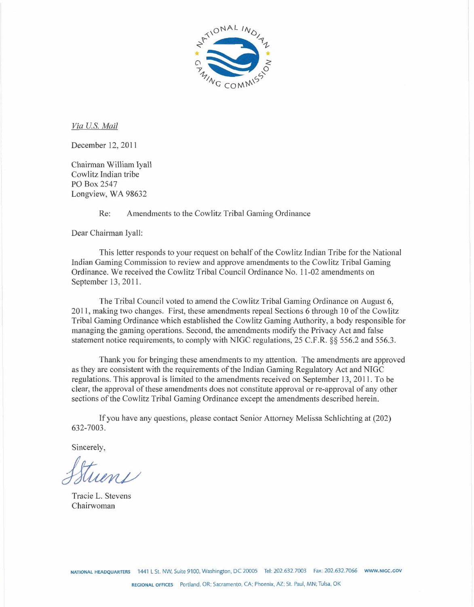

*Via U.S. Mail* 

December 12, 2011

Chairman William Iyall Cowlitz Indian tribe PO Box 2547 Longview, WA 98632

Re: Amendments to the Cowlitz Tribal Gaming Ordinance

Dear Chairman Iyall:

This letter responds to your request on behalf of the Cowlitz Indian Tribe for the National Indian Gaming Commission to review and approve amendments to the Cowlitz Tribal Gaming Ordinance. We received the Cowlitz Tribal Council Ordinance No. 1 1-02 amendments on September 13, 2011.

The Tribal Council voted to amend the Cowlitz Tribal Gaming Ordinance on August 6, 2011, making two changes. First, these amendments repeal Sections 6 through 10 of the Cowlitz Tribal Gaming Ordinance which established the Cowlitz Gaming Authority, a body responsible for managing the gaming operations. Second, the amendments modify the Privacy Act and false statement notice requirements, to comply with NIGC regulations, 25 C.F.R. *\$5* 556.2 and 556.3.

Thank you for bringing these amendments to my attention. The amendments are approved as they are consistent with the requirements of the Indian Gaming Regulatory Act and NIGC regulations. This approval is limited to the amendments received on September 13, 2011. To be clear, the approval of these amendments does not constitute approval or re-approval of any other sections of the Cowlitz Tribal Gaming Ordinance except the amendments described herein.

If you have any questions, please contact Senior Attorney Melissa Schlichtiug at (202) 632-7003.

Sincerely,

Tracie L. Stevens Chairwoman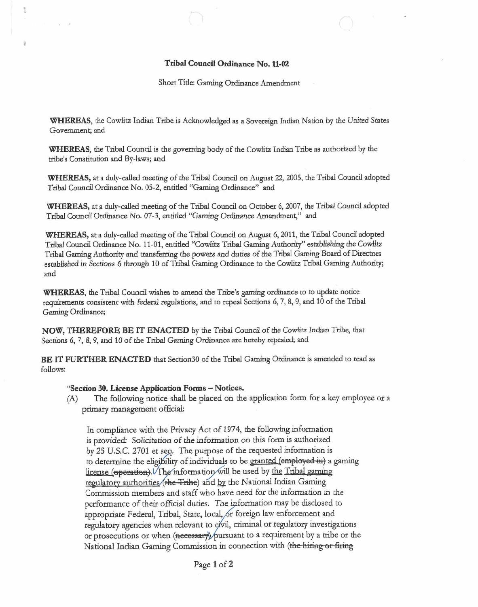## Tribal Council Otdinance No. 11-02

Short Title: Gaming Ordinance Amendment

**WHEREAS,** the Cowlitz Indian Tribe is Acknowledged as a Sovereign Indian Nation by the **United** States Government; and

**WHEREAS,** the Tribal Council is the **governing** body of the Cowlitz Indian Tribe as authorized by the tribe's Constitution and By-laws; and

**WHEREAS,** at a duly-called meeting of the Tribal Council on August 22, 2005, the Tribal Council adopted Tribal Council Ordinance No. 05-2, entitled "Gaming Ordinance" and

**WHEREAS,** ata duly-called **meeting** of the Tribal Council on October 6,2007, the Tribal Council adopted Tribal Council Ordinance No. 07-3, entitled "Gaming Ordinance Amendment," and

**WHEREAS,** at a duly-called meeting of the Tribal Council on August 6, 2011, the Tribal Council adopted Tribal Council Ordinance No. 11-01, entitled "Cowlitz Tribal Gaming Authority" establishing the Cowlitz Tribal **Gaming** Aut6ority and transferring the **powers** and duties of the Tribal Gaming Board of Directors established in Sections 6 **though** 10 of Tribal Gaming **Ordinance** to the Cowlitz Tribal Ganung Authority; and

WHEREAS, the Tribal Council wishes to amend the Tribe's gaming ordinance to to update notice **reqkments** consistent with federal regulations, and to repeal Sections 6,7,8,9, and 10 of the Tribal Gaming Ordinance;

**NOW, THEREFORE BE IT ENACTED** by the **Tribal** Council of the Cowlitz **Indian** Tribe, that Sections 6, **7,8,9,** and 10 of the Tribal Gaming **Ordinance are** hereby repealed, and

**BE IT PURTHER ENACTED** that Section30 of the Tribal Gaming Ordinance is amended to read as follows:

## "Section 30. License Application Forms – Notices.

 $\tilde{\mathbb{S}}$ 

(A) The following notice shall be placed on the application form for a key employee or a primary management official:

In compliance with the Privacy Act of 1974, the following information is provided: Solicitation of the information on this Form is authorized by 25 U.S.C. 2701 et seq. The purpose of the requested information is to determine the eligibility of individuals to be granted (employed in) a gaming license (operation). The information will be used by <u>the Tribal gaming</u><br>regulatory authorities (the <del>Tribe</del>) and by the National Indian Gaming Commission members and staff who have need for the information in the performance of their official duties. The information may be disclosed to appropriate Federal, Tribal, State, local, or foreign law enforcement and regulatory agencies when relevant to civil, criminal or regulatory investigations is provided. Sonctration or the importance or the requested information is<br>by 25 U.S.C. 2701 et seq. The purpose of the requested information is<br>to determine the eligibility of individuals to be <u>granted</u> (employed-in) a g

**Page 1 of 2**